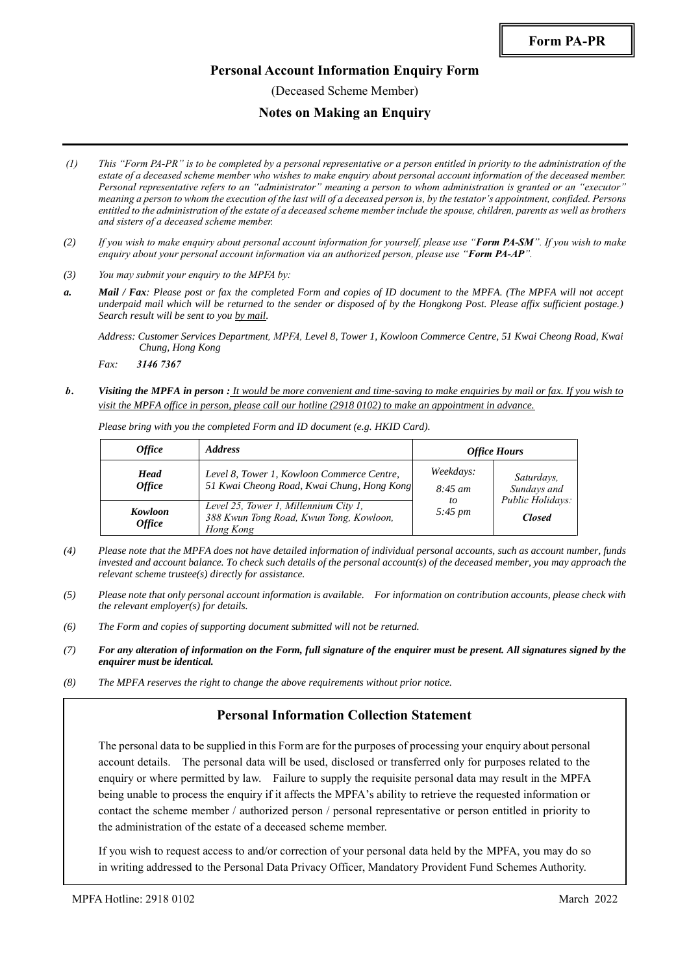#### **Personal Account Information Enquiry Form**

(Deceased Scheme Member)

#### **Notes on Making an Enquiry**

- *(1) This "Form PA-PR" is to be completed by a personal representative or a person entitled in priority to the administration of the estate of a deceased scheme member who wishes to make enquiry about personal account information of the deceased member. Personal representative refers to an "administrator" meaning a person to whom administration is granted or an "executor" meaning a person to whom the execution of the last will of a deceased person is, by the testator's appointment, confided. Persons entitled to the administration of the estate of a deceased scheme member include the spouse, children, parents as well as brothers and sisters of a deceased scheme member.*
- *(2) If you wish to make enquiry about personal account information for yourself, please use "Form PA-SM". If you wish to make enquiry about your personal account information via an authorized person, please use "Form PA-AP".*
- *(3) You may submit your enquiry to the MPFA by:*
- *a. Mail / Fax: Please post or fax the completed Form and copies of ID document to the MPFA. (The MPFA will not accept underpaid mail which will be returned to the sender or disposed of by the Hongkong Post. Please affix sufficient postage.) Search result will be sent to you by mail.*

*b. Visiting the MPFA in person : It would be more convenient and time-saving to make enquiries by mail or fax. If you wish to visit the MPFA office in person, please call our hotline (2918 0102) to make an appointment in advance.*

| <i><b>Office</b></i>                | <b>Address</b>                                                                                | <b>Office Hours</b>       |                                   |  |
|-------------------------------------|-----------------------------------------------------------------------------------------------|---------------------------|-----------------------------------|--|
| <b>Head</b><br><i><b>Office</b></i> | Level 8, Tower 1, Kowloon Commerce Centre,<br>51 Kwai Cheong Road, Kwai Chung, Hong Kong      | Weekdays:<br>$8:45 \; am$ | Saturdays,<br>Sundays and         |  |
| Kowloon<br><i><b>Office</b></i>     | Level 25, Tower 1, Millennium City 1,<br>388 Kwun Tong Road, Kwun Tong, Kowloon,<br>Hong Kong | to<br>$5:45 \, \text{pm}$ | Public Holidays:<br><b>Closed</b> |  |

*Please bring with you the completed Form and ID document (e.g. HKID Card).*

- *(4) Please note that the MPFA does not have detailed information of individual personal accounts, such as account number, funds invested and account balance. To check such details of the personal account(s) of the deceased member, you may approach the relevant scheme trustee(s) directly for assistance.*
- *(5) Please note that only personal account information is available. For information on contribution accounts, please check with the relevant employer(s) for details.*
- *(6) The Form and copies of supporting document submitted will not be returned.*
- *(7) For any alteration of information on the Form, full signature of the enquirer must be present. All signatures signed by the enquirer must be identical.*
- *(8) The MPFA reserves the right to change the above requirements without prior notice.*

# **Personal Information Collection Statement**

The personal data to be supplied in this Form are for the purposes of processing your enquiry about personal account details. The personal data will be used, disclosed or transferred only for purposes related to the enquiry or where permitted by law. Failure to supply the requisite personal data may result in the MPFA being unable to process the enquiry if it affects the MPFA's ability to retrieve the requested information or contact the scheme member / authorized person / personal representative or person entitled in priority to the administration of the estate of a deceased scheme member.

If you wish to request access to and/or correction of your personal data held by the MPFA, you may do so in writing addressed to the Personal Data Privacy Officer, Mandatory Provident Fund Schemes Authority.

*Address: Customer Services Department, MPFA, Level 8, Tower 1, Kowloon Commerce Centre, 51 Kwai Cheong Road, Kwai Chung, Hong Kong*

*Fax: 3146 7367*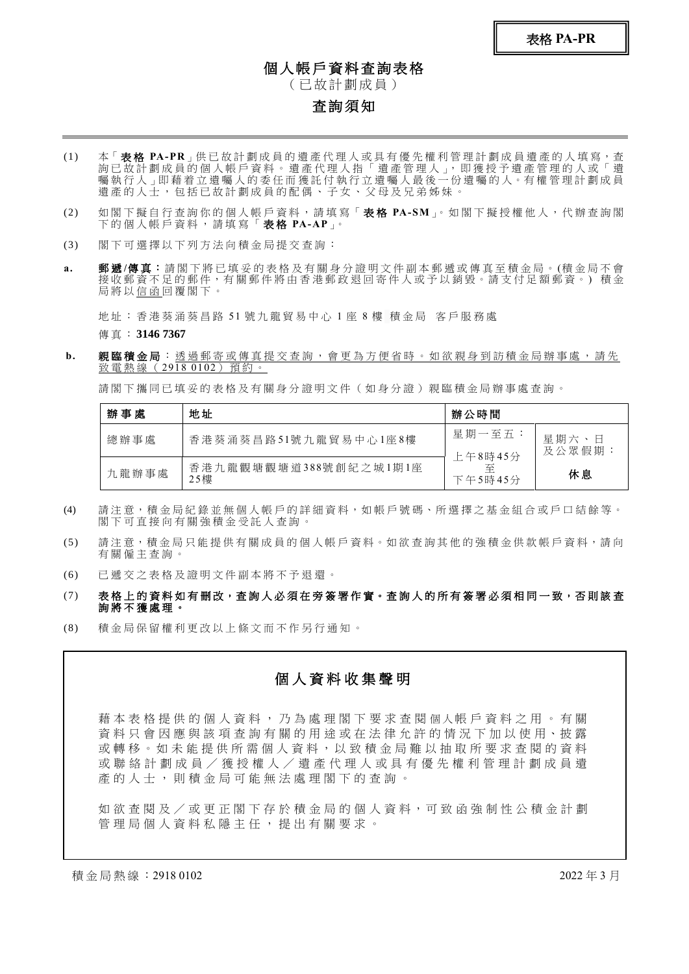表格 **PA-PR**

#### 個人帳戶資料查詢表格

( 已 故 計 劃 成 員 )

## 查詢須知

- (1) 本「 **表格 PA-PR**」供已故計劃成員的遺產代理人或具有優先權利管理計劃成員遺產的人填寫,查 詢已 故 計 劃 成 員 的 個 人 帳 戶 資 料 。 遺 產 代 理 人 指 「 遺 產 管 理 人 」, 即 獲 授 予 遺 產 管 理 的 人 或 「 遺 囑 執 行 人 」即 藉 着 立 遺 囑 人 的 委 任 而 獲 託 付 執 行 立 遺 囑 人 最 後 一 份 遺 囑 的 人。有 權 管 理 計 劃 成 員 遺產的人士,包括已故計劃成員的配偶、子女、父母及兄弟姊妹。
- (2) 如 閣 下 擬 自 行 查 詢 你 的 個 人 帳 戶 資 料 , 請 填 寫「 表 格 **PA-SM**」。 如 閣 下 擬 授 權 他 人 , 代 辦 查 詢 閣 下 的 個 人 帳 戶 資 料 , 請 填 寫 「 表 格 **PA-AP**」。
- (3) 閣 下 可 選 擇 以 下 列 方 法 向 積 金 局 提 交 查 詢 :
- a. 郵遞/傳真:請閣下將已填妥的表格及有關身分證明文件副本郵遞或傳真至積金局。(積金局不會 接收郵資不足的郵件,有關郵件將由香港郵政退回寄件人或予以銷毀。請支付足額郵資。)積金 局將以信函回覆閣下。

地 址 : 香 港 葵 涌 葵 昌 路 51 號 九 龍 貿 易 中 心 1 座 8 樓 積 金 局 客 戶 服 務 處

傳 真 : **3146 7367**

b. 親臨積金局:透過郵寄或傳真提交查詢,會更為方便省時。如欲親身到訪積金局辦事處,請先 致電熱線 (2918 0102) 預約。

請閣下攜同已填妥的表格及有關身分證明文件(如身分證)親臨積金局辦事處查詢。

| 辦事處   | 地址                           | 辦公時間                    |                        |  |
|-------|------------------------------|-------------------------|------------------------|--|
| 總辦事處  | 香港葵涌葵昌路51號九龍貿易中心1座8樓         | 星期一至五:                  | 星期六、日<br>及公眾假期 ·<br>休息 |  |
| 九龍辦事處 | 香港九龍觀塘觀塘道388號創紀之城1期1座<br>25樓 | 上午8時45分<br>至<br>下午5時45分 |                        |  |

- (4) 請注意,積金局紀錄並無個人帳戶的詳細資料,如帳戶號碼、所選擇之基金組合或戶口結餘等。 閣下可直接向有關強積金受託人查詢。
- (5) 請注意,積金局只能提供有關成員的個人帳戶資料。如欲杳詢其他的強積金供款帳戶資料,請向 有關僱主查詢。
- (6) 已 遞 交 之 表 格 及 證 明 文 件 副 本 將 不 予 退 還 。
- (7) 表格上的資料如有刪改,查詢人必須在旁簽署作實。查詢人的所有簽署必須相同一致,否則該查 詢 將 不 獲 處 理 。
- (8) 積 金 局 保 留 權 利 更 改 以 上 條 文 而 不 作 另 行 通 知 。

## 個 人 資 料 收 集 聲 明

藉 本 表 格 提 供 的 個 人 資 料 , 乃 為 處 理 閣 下 要 求 查 閱 個 人 帳 戶 資 料 之 用 。 有 關 資 料 只 會 因 應 與 該 項 查 詢 有 關 的 用 途 或 在 法 律 允 許 的 情 況 下 加 以 使 用、披 露 或 轉 移 。 如 未 能 提 供 所 需 個 人 資 料 , 以 致 積 金 局 難 以 抽 取 所 要 求 查 閲 的 資 料 或聯絡計劃成員/獲授權人/遺產代理人 或具有優先權利管理計劃成員遺 產的人士,則積金局可能無法處理閣下的查詢。

如 欲 查 閱 及 / 或 更 正 閣 下 存 於 積 金 局 的 個 人 資 料 , 可 致 函 強 制 性 公 積 金 計 劃 管理局個人資料私隱主任,提出有關要求。

積金局熱線:2918 0102 2022 2022 年 3 月 2022 年 3 月 2022 年 3 月 2022 年 3 月 2022 年 3 月 2022 年 3 月 2022 年 3 月 2022 年 3 月 2022 年 3 月 2022 年 3 月 2022 年 2 月 2022 年 2 月 2022 年 2 月 2022 年 2 月 2022 年 2 月 2022 年 2 月 2022 年 2 月 2022 年 2 月 202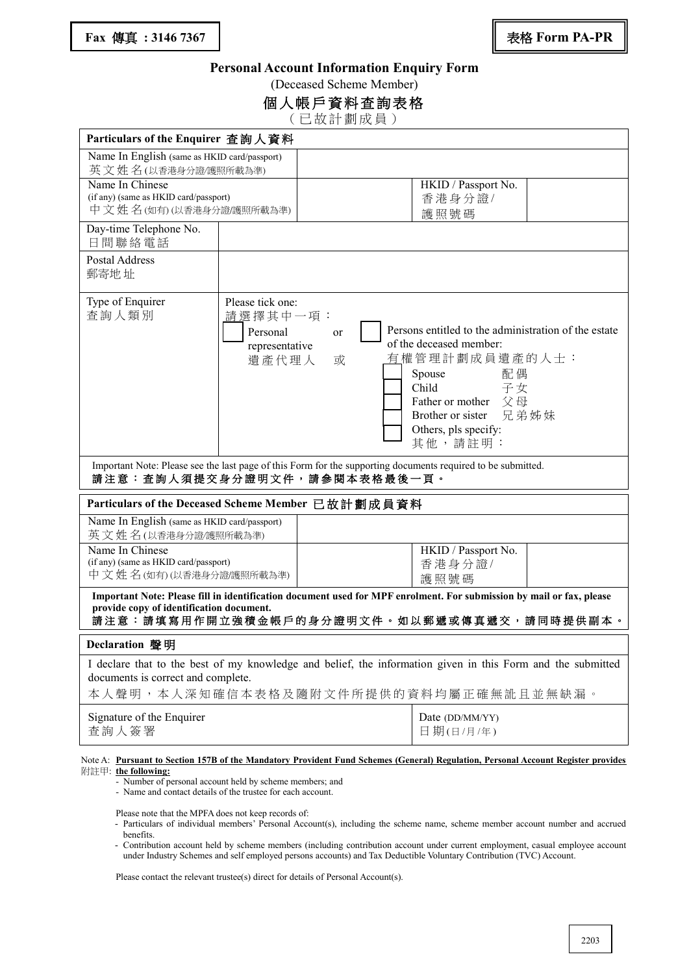#### **Personal Account Information Enquiry Form**

(Deceased Scheme Member)

| 個人帳戶資料查詢表格 |  |  |  |  |  |
|------------|--|--|--|--|--|
|            |  |  |  |  |  |

( 已 故 計 劃 成 員 )

| Particulars of the Enquirer 查詢人資料                                                                                                                                                                              |                                                                                                                                   |                                                                                                                                                                                                                      |  |  |  |
|----------------------------------------------------------------------------------------------------------------------------------------------------------------------------------------------------------------|-----------------------------------------------------------------------------------------------------------------------------------|----------------------------------------------------------------------------------------------------------------------------------------------------------------------------------------------------------------------|--|--|--|
| Name In English (same as HKID card/passport)<br>英文姓名(以香港身分證/護照所載為準)                                                                                                                                            |                                                                                                                                   |                                                                                                                                                                                                                      |  |  |  |
| Name In Chinese<br>(if any) (same as HKID card/passport)<br>中文姓名(如有)(以香港身分證/護照所載為準)                                                                                                                            |                                                                                                                                   | HKID / Passport No.<br>香港身分證/<br>護照號碼                                                                                                                                                                                |  |  |  |
| Day-time Telephone No.<br>日間聯絡電話                                                                                                                                                                               |                                                                                                                                   |                                                                                                                                                                                                                      |  |  |  |
| Postal Address<br>郵寄地址                                                                                                                                                                                         |                                                                                                                                   |                                                                                                                                                                                                                      |  |  |  |
| Type of Enquirer<br>查詢人類別                                                                                                                                                                                      | Please tick one:<br>請選擇其中一項:<br>Personal<br>or<br>representative<br>遺產代理人<br>或                                                    | Persons entitled to the administration of the estate<br>of the deceased member:<br>有權管理計劃成員遺產的人士:<br>Spouse<br>配偶<br>Child<br>子女<br>Father or mother 父母<br>Brother or sister 兄弟姊妹<br>Others, pls specify:<br>其他,請註明: |  |  |  |
| Important Note: Please see the last page of this Form for the supporting documents required to be submitted.<br>請注意:查詢人須提交身分證明文件,請參閱本表格最後一頁。                                                                   |                                                                                                                                   |                                                                                                                                                                                                                      |  |  |  |
| Particulars of the Deceased Scheme Member 已故計劃成員資料                                                                                                                                                             |                                                                                                                                   |                                                                                                                                                                                                                      |  |  |  |
| Name In English (same as HKID card/passport)<br>英文姓名(以香港身分證/護照所載為準)                                                                                                                                            |                                                                                                                                   |                                                                                                                                                                                                                      |  |  |  |
| Name In Chinese<br>(if any) (same as HKID card/passport)<br>中文姓名(如有)(以香港身分證)護照所載為準)                                                                                                                            |                                                                                                                                   | HKID / Passport No.<br>香港身分證/<br>護照號碼                                                                                                                                                                                |  |  |  |
| Important Note: Please fill in identification document used for MPF enrolment. For submission by mail or fax, please<br>provide copy of identification document.<br>請注意:請填寫用作開立強積金帳戶的身分證明文件。如以郵遞或傳真遞交,請同時提供副本。 |                                                                                                                                   |                                                                                                                                                                                                                      |  |  |  |
| Declaration 聲明                                                                                                                                                                                                 |                                                                                                                                   |                                                                                                                                                                                                                      |  |  |  |
| I declare that to the best of my knowledge and belief, the information given in this Form and the submitted<br>documents is correct and complete.<br>本人聲明,本人深知確信本表格及隨附文件所提供的資料均屬正確無訛且並無缺漏。                     |                                                                                                                                   |                                                                                                                                                                                                                      |  |  |  |
| Signature of the Enquirer<br>查詢人簽署                                                                                                                                                                             |                                                                                                                                   | Date (DD/MM/YY)<br>日期(日/月/年)                                                                                                                                                                                         |  |  |  |
| 附註甲: the following:                                                                                                                                                                                            | Note A: Pursuant to Section 157B of the Mandatory Provident Fund Schemes (General) Regulation, Personal Account Register provides |                                                                                                                                                                                                                      |  |  |  |

- Number of personal account held by scheme members; and

- Name and contact details of the trustee for each account.

Please note that the MPFA does not keep records of:

- Particulars of individual members' Personal Account(s), including the scheme name, scheme member account number and accrued benefits.
- Contribution account held by scheme members (including contribution account under current employment, casual employee account under Industry Schemes and self employed persons accounts) and Tax Deductible Voluntary Contribution (TVC) Account.

Please contact the relevant trustee(s) direct for details of Personal Account(s).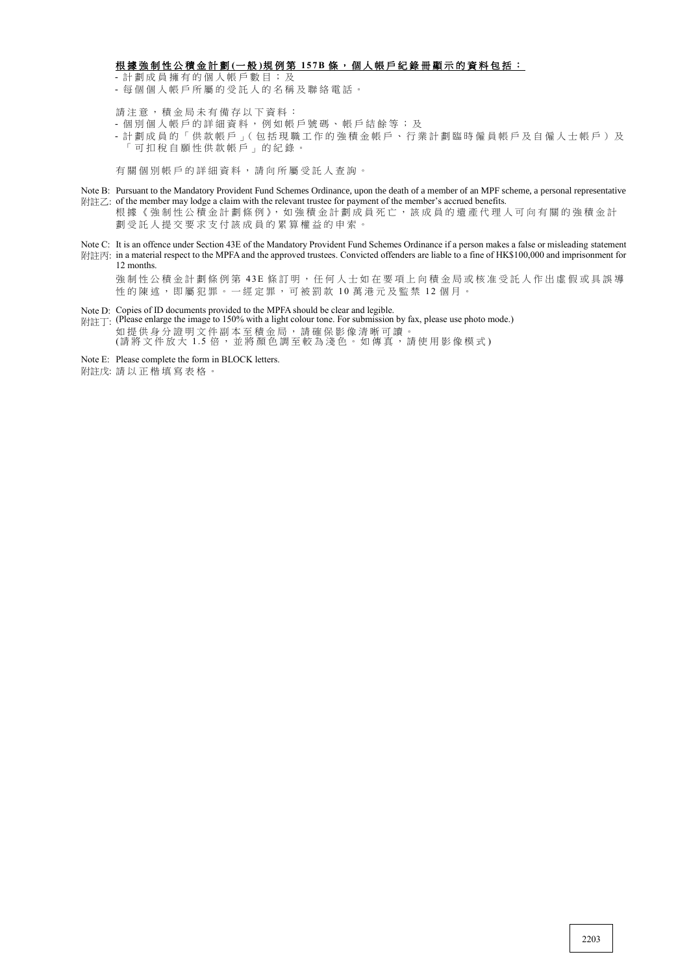#### 根 據 強 制 性 公 積 金 計 劃 **(**一 般 **)**規 例 第 **15 7 B** 條 , 個 人 帳 戶 紀 錄 冊 顯 示 的 資 料 包 括 :

- 計 劃 成 員 擁 有 的 個 人 帳 戶 數 目 ; 及

- 每 個 個 人 帳 戶 所 屬 的 受 託 人 的 名 稱 及 聯 絡 電 話 。

請注意,積金局未有備存以下資料:

- 個 別 個 人 帳 戶 的 詳 細 資 料 , 例 如 帳 戶 號 碼 、 帳 戶 結 餘 等 ; 及
- 計 劃 成 員 的 「 供 款 帳 戶 」( 包 括 現 職 工 作 的 強 積 金 帳 戶 、 行 業 計 劃 臨 時 僱 員 帳 戶 及 自 僱 人 士 帳 戶 ) 及 「 可 扣 稅 自 願 性 供 款 帳 戶 」 的 紀 錄 。

有 關 個 別 帳 戶 的 詳 細 資 料 , 請 向 所 屬 受 託 人 查 詢 。

- Note B: Pursuant to the Mandatory Provident Fund Schemes Ordinance, upon the death of a member of an MPF scheme, a personal representative 附註乙: of the member may lodge a claim with the relevant trustee for payment of the member's accrued benefits.
	- 根據《強制性公積金計劃條例》,如強積金計劃成員死亡,該成員的遺產代理人可向有關的強積金計 劃 受 託 人 提 交 要 求 支 付 該 成 員 的 累 算 權 益 的 申 索 。
- Note C: It is an offence under Section 43E of the Mandatory Provident Fund Schemes Ordinance if a person makes a false or misleading statement
- 附註丙: in a material respect to the MPFA and the approved trustees. Convicted offenders are liable to a fine of HK\$100,000 and imprisonment for 12 months.
	- 強制性公積金計劃條例第 43E 條訂明, 任何人士如在要項上向積金局或核准受託人作出虛假或具誤導 性的陳述,即屬犯罪。一經定罪,可被罰款 10 萬港元及監禁 12 個月。
- Note D: Copies of ID documents provided to the MPFA should be clear and legible.
- 附註丁: (Please enlarge the image to 150% with a light colour tone. For submission by fax, please use photo mode.) 如 提 供 身 分 證 明 文 件 副 本 至 積 金 局 , 請 確 保 影 像 清 晰 可 讀 。 (請將 文 件 放 大 1.5 倍 , 並 將 顏 色 調 至 較 為 淺 色 。 如 傳 真 , 請 使 用 影 像 模 式 )
- Note E: Please complete the form in BLOCK letters.
- 附註戊: 請 以 正 楷 填 寫 表 格 。